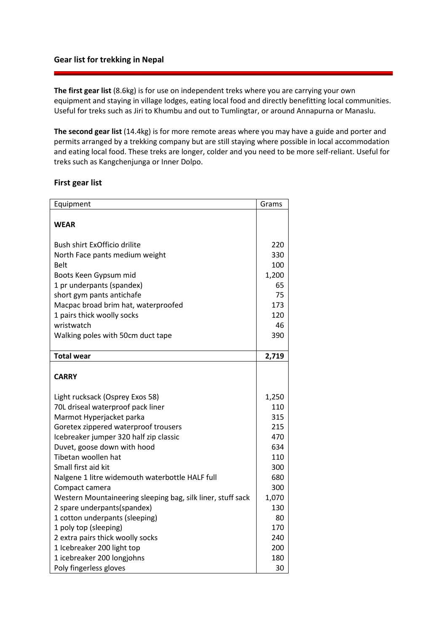## **Gear list for trekking in Nepal**

**The first gear list** (8.6kg) is for use on independent treks where you are carrying your own equipment and staying in village lodges, eating local food and directly benefitting local communities. Useful for treks such as Jiri to Khumbu and out to Tumlingtar, or around Annapurna or Manaslu.

**The second gear list** (14.4kg) is for more remote areas where you may have a guide and porter and permits arranged by a trekking company but are still staying where possible in local accommodation and eating local food. These treks are longer, colder and you need to be more self-reliant. Useful for treks such as Kangchenjunga or Inner Dolpo.

## **First gear list**

| Equipment                                                   | Grams |
|-------------------------------------------------------------|-------|
|                                                             |       |
| <b>WEAR</b>                                                 |       |
|                                                             |       |
| Bush shirt ExOfficio drilite                                | 220   |
| North Face pants medium weight                              | 330   |
| Belt                                                        | 100   |
| Boots Keen Gypsum mid                                       | 1,200 |
| 1 pr underpants (spandex)                                   | 65    |
| short gym pants antichafe                                   | 75    |
| Macpac broad brim hat, waterproofed                         | 173   |
| 1 pairs thick woolly socks                                  | 120   |
| wristwatch                                                  | 46    |
| Walking poles with 50cm duct tape                           | 390   |
|                                                             |       |
| <b>Total wear</b>                                           | 2,719 |
|                                                             |       |
| <b>CARRY</b>                                                |       |
|                                                             |       |
| Light rucksack (Osprey Exos 58)                             | 1,250 |
| 70L driseal waterproof pack liner                           | 110   |
| Marmot Hyperjacket parka                                    | 315   |
| Goretex zippered waterproof trousers                        | 215   |
| Icebreaker jumper 320 half zip classic                      | 470   |
| Duvet, goose down with hood                                 | 634   |
| Tibetan woollen hat                                         | 110   |
| Small first aid kit                                         | 300   |
| Nalgene 1 litre widemouth waterbottle HALF full             | 680   |
| Compact camera                                              | 300   |
| Western Mountaineering sleeping bag, silk liner, stuff sack | 1,070 |
| 2 spare underpants(spandex)                                 | 130   |
| 1 cotton underpants (sleeping)                              | 80    |
| 1 poly top (sleeping)                                       | 170   |
| 2 extra pairs thick woolly socks                            | 240   |
| 1 Icebreaker 200 light top                                  | 200   |
| 1 icebreaker 200 longjohns                                  | 180   |
| Poly fingerless gloves                                      | 30    |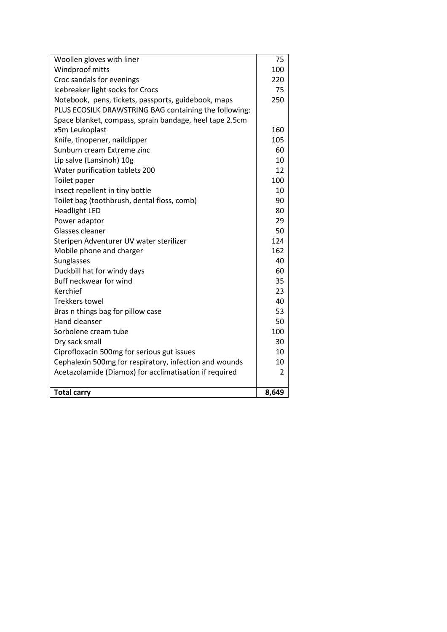| Woollen gloves with liner                               | 75             |
|---------------------------------------------------------|----------------|
| Windproof mitts                                         | 100            |
| Croc sandals for evenings                               | 220            |
| Icebreaker light socks for Crocs                        | 75             |
| Notebook, pens, tickets, passports, guidebook, maps     | 250            |
| PLUS ECOSILK DRAWSTRING BAG containing the following:   |                |
| Space blanket, compass, sprain bandage, heel tape 2.5cm |                |
| x5m Leukoplast                                          | 160            |
| Knife, tinopener, nailclipper                           | 105            |
| Sunburn cream Extreme zinc                              | 60             |
| Lip salve (Lansinoh) 10g                                | 10             |
| Water purification tablets 200                          | 12             |
| Toilet paper                                            | 100            |
| Insect repellent in tiny bottle                         | 10             |
| Toilet bag (toothbrush, dental floss, comb)             | 90             |
| <b>Headlight LED</b>                                    | 80             |
| Power adaptor                                           | 29             |
| Glasses cleaner                                         | 50             |
| Steripen Adventurer UV water sterilizer                 | 124            |
| Mobile phone and charger                                | 162            |
| Sunglasses                                              | 40             |
| Duckbill hat for windy days                             | 60             |
| Buff neckwear for wind                                  | 35             |
| Kerchief                                                | 23             |
| <b>Trekkers towel</b>                                   | 40             |
| Bras n things bag for pillow case                       | 53             |
| Hand cleanser                                           | 50             |
| Sorbolene cream tube                                    | 100            |
| Dry sack small                                          | 30             |
| Ciprofloxacin 500mg for serious gut issues              | 10             |
| Cephalexin 500mg for respiratory, infection and wounds  | 10             |
| Acetazolamide (Diamox) for acclimatisation if required  | $\overline{2}$ |
| <b>Total carry</b>                                      | 8,649          |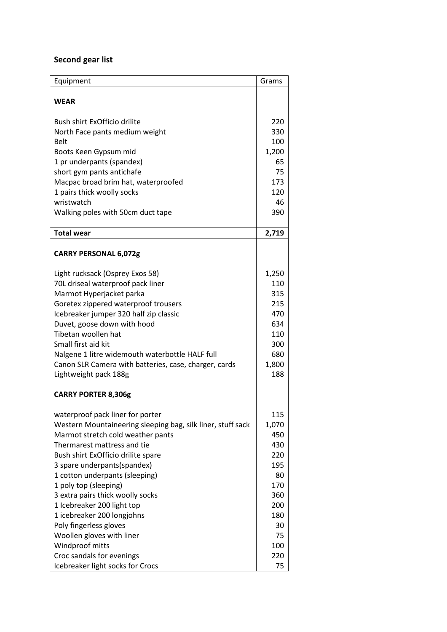## **Second gear list**

| Equipment                                                            | Grams      |
|----------------------------------------------------------------------|------------|
|                                                                      |            |
| <b>WEAR</b>                                                          |            |
|                                                                      |            |
| Bush shirt ExOfficio drilite                                         | 220        |
| North Face pants medium weight                                       | 330        |
| <b>Belt</b>                                                          | 100        |
| Boots Keen Gypsum mid                                                | 1,200      |
| 1 pr underpants (spandex)                                            | 65         |
| short gym pants antichafe                                            | 75         |
| Macpac broad brim hat, waterproofed                                  | 173        |
| 1 pairs thick woolly socks                                           | 120        |
| wristwatch                                                           | 46         |
| Walking poles with 50cm duct tape                                    | 390        |
|                                                                      |            |
| <b>Total wear</b>                                                    | 2,719      |
|                                                                      |            |
| <b>CARRY PERSONAL 6,072g</b>                                         |            |
|                                                                      | 1,250      |
| Light rucksack (Osprey Exos 58)<br>70L driseal waterproof pack liner | 110        |
|                                                                      | 315        |
| Marmot Hyperjacket parka                                             | 215        |
| Goretex zippered waterproof trousers                                 | 470        |
| Icebreaker jumper 320 half zip classic                               |            |
| Duvet, goose down with hood                                          | 634        |
| Tibetan woollen hat                                                  | 110        |
| Small first aid kit                                                  | 300        |
| Nalgene 1 litre widemouth waterbottle HALF full                      | 680        |
| Canon SLR Camera with batteries, case, charger, cards                | 1,800      |
| Lightweight pack 188g                                                | 188        |
| <b>CARRY PORTER 8,306g</b>                                           |            |
| waterproof pack liner for porter                                     | 115        |
| Western Mountaineering sleeping bag, silk liner, stuff sack          | 1,070      |
| Marmot stretch cold weather pants                                    | 450        |
| Thermarest mattress and tie                                          | 430        |
| Bush shirt ExOfficio drilite spare                                   | 220        |
| 3 spare underpants(spandex)                                          |            |
|                                                                      | 195<br>80  |
| 1 cotton underpants (sleeping)<br>1 poly top (sleeping)              | 170        |
|                                                                      |            |
| 3 extra pairs thick woolly socks                                     | 360        |
| 1 Icebreaker 200 light top                                           | 200<br>180 |
| 1 icebreaker 200 longjohns                                           |            |
| Poly fingerless gloves                                               | 30         |
| Woollen gloves with liner                                            | 75         |
| Windproof mitts                                                      | 100        |
| Croc sandals for evenings                                            | 220        |
| Icebreaker light socks for Crocs                                     | 75         |